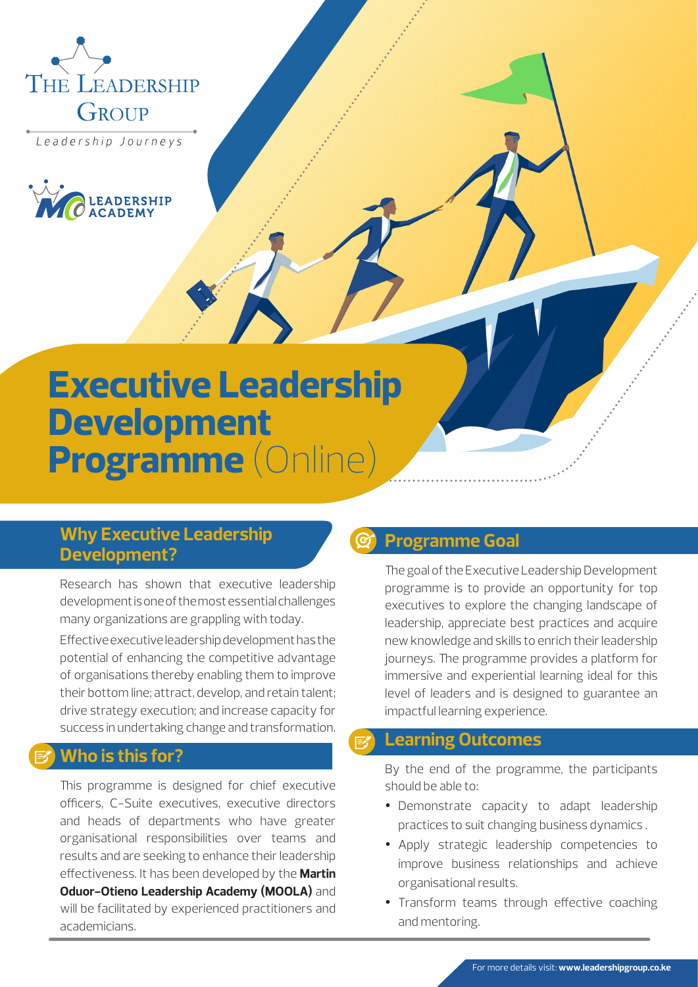

Leadership Journeys



# **Executive Leadership Development Programme** (Online)

### **Why Executive Leadership Development?**

Research has shown that executive leadership development is one of the most essential challenges many organizations are grappling with today.

Effective executive leadership development has the potential of enhancing the competitive advantage of organisations thereby enabling them to improve their bottom line; attract, develop, and retain talent; drive strategy execution; and increase capacity for success in undertaking change and transformation.

## **Who is this for?**

This programme is designed for chief executive officers, C-Suite executives, executive directors and heads of departments who have greater organisational responsibilities over teams and results and are seeking to enhance their leadership effectiveness. It has been developed by the **Martin Oduor-Otieno Leadership Academy (MOOLA)** and will be facilitated by experienced practitioners and academicians.

#### **Programme Goal**

The goal of the Executive Leadership Development programme is to provide an opportunity for top executives to explore the changing landscape of leadership, appreciate best practices and acquire new knowledge and skills to enrich their leadership journeys. The programme provides a platform for immersive and experiential learning ideal for this level of leaders and is designed to guarantee an impactful learning experience.

# **Learning Outcomes**

By the end of the programme, the participants should be able to:

- Demonstrate capacity to adapt leadership practices to suit changing business dynamics .
- Apply strategic leadership competencies to improve business relationships and achieve organisational results.
- Transform teams through effective coaching and mentoring.